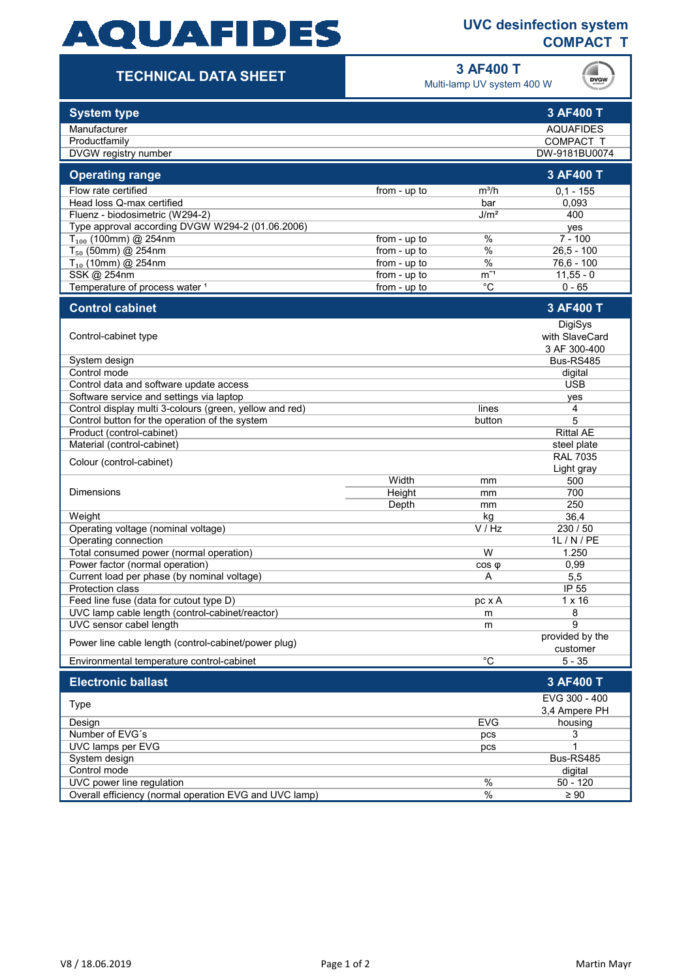# **AQUAFIDES**

## **UVC desinfection system COMPACT T**

## **TECHNICAL DATA SHEET**

**3 AF400 T**

Multi-lamp UV system 400 W



| <b>System type</b>                                                          |                |                  | 3 AF400 T                   |
|-----------------------------------------------------------------------------|----------------|------------------|-----------------------------|
| Manufacturer                                                                |                |                  | <b>AQUAFIDES</b>            |
| Productfamily                                                               |                |                  | COMPACT T                   |
| DVGW registry number                                                        |                |                  | DW-9181BU0074               |
| <b>Operating range</b>                                                      |                |                  | 3 AF400 T                   |
| Flow rate certified                                                         | from - up to   | $m^3/h$          | $0,1 - 155$                 |
| Head loss Q-max certified                                                   |                | bar              | 0,093                       |
| Fluenz - biodosimetric (W294-2)                                             |                | J/m <sup>2</sup> | 400                         |
| Type approval according DVGW W294-2 (01.06.2006)                            |                |                  | yes                         |
| $T_{100}$ (100mm) @ 254nm                                                   | from - $up$ to | $\%$             | $7 - 100$                   |
| $T_{50}$ (50mm) @ 254nm                                                     | from - up to   | $\%$             | $26,5 - 100$                |
| $T_{10}$ (10mm) @ 254nm                                                     | from - up to   | $\%$             | $76,6 - 100$                |
| SSK @ 254nm                                                                 | from - up to   | $m^{-1}$         | $11,55 - 0$                 |
| Temperature of process water 1                                              | from - up to   | °C               | $0 - 65$                    |
| <b>Control cabinet</b>                                                      |                |                  | 3 AF400 T                   |
|                                                                             |                |                  | DigiSys                     |
| Control-cabinet type                                                        |                |                  | with SlaveCard              |
|                                                                             |                |                  | 3 AF 300-400                |
| System design                                                               |                |                  | Bus-RS485                   |
| Control mode                                                                |                |                  | digital                     |
| Control data and software update access                                     |                |                  | <b>USB</b>                  |
| Software service and settings via laptop                                    |                |                  | yes                         |
| Control display multi 3-colours (green, yellow and red)                     |                | lines            | 4<br>5                      |
| Control button for the operation of the system<br>Product (control-cabinet) |                | button           | <b>Rittal AE</b>            |
| Material (control-cabinet)                                                  |                |                  | steel plate                 |
|                                                                             |                |                  | <b>RAL 7035</b>             |
| Colour (control-cabinet)                                                    |                |                  | Light gray                  |
|                                                                             | Width          | mm               | 500                         |
| <b>Dimensions</b>                                                           | Height         | mm               | 700                         |
|                                                                             | Depth          | mm               | 250                         |
| Weight                                                                      |                | kg               | 36,4                        |
| Operating voltage (nominal voltage)                                         |                | V / Hz           | 230 / 50                    |
| Operating connection                                                        |                |                  | 1L / N / PE                 |
| Total consumed power (normal operation)                                     |                | W                | 1.250                       |
| Power factor (normal operation)                                             |                | $cos \phi$       | 0,99                        |
| Current load per phase (by nominal voltage)                                 |                | Α                | 5,5                         |
| <b>Protection class</b>                                                     |                |                  | IP 55                       |
| Feed line fuse (data for cutout type D)                                     |                | pc x A           | $1 \times 16$               |
| UVC lamp cable length (control-cabinet/reactor)                             |                | m                | 8                           |
| UVC sensor cabel length                                                     |                | m                | 9                           |
| Power line cable length (control-cabinet/power plug)                        |                |                  | provided by the<br>customer |
| Environmental temperature control-cabinet                                   |                | $\overline{C}$   | $5 - 35$                    |
| <b>Electronic ballast</b>                                                   |                |                  | 3 AF400 T                   |
|                                                                             |                |                  | EVG 300 - 400               |
| <b>Type</b>                                                                 |                |                  | 3.4 Ampere PH               |
| Design                                                                      |                | <b>EVG</b>       | housing                     |
| Number of EVG's                                                             |                | pcs              | 3                           |
| UVC lamps per EVG                                                           |                | pcs              | 1                           |
| System design                                                               |                |                  | Bus-RS485                   |
| Control mode                                                                |                |                  | digital                     |
| UVC power line regulation                                                   |                | $\frac{0}{6}$    | $50 - 120$                  |
| Overall efficiency (normal operation EVG and UVC lamp)                      |                | $\%$             | $\geq 90$                   |